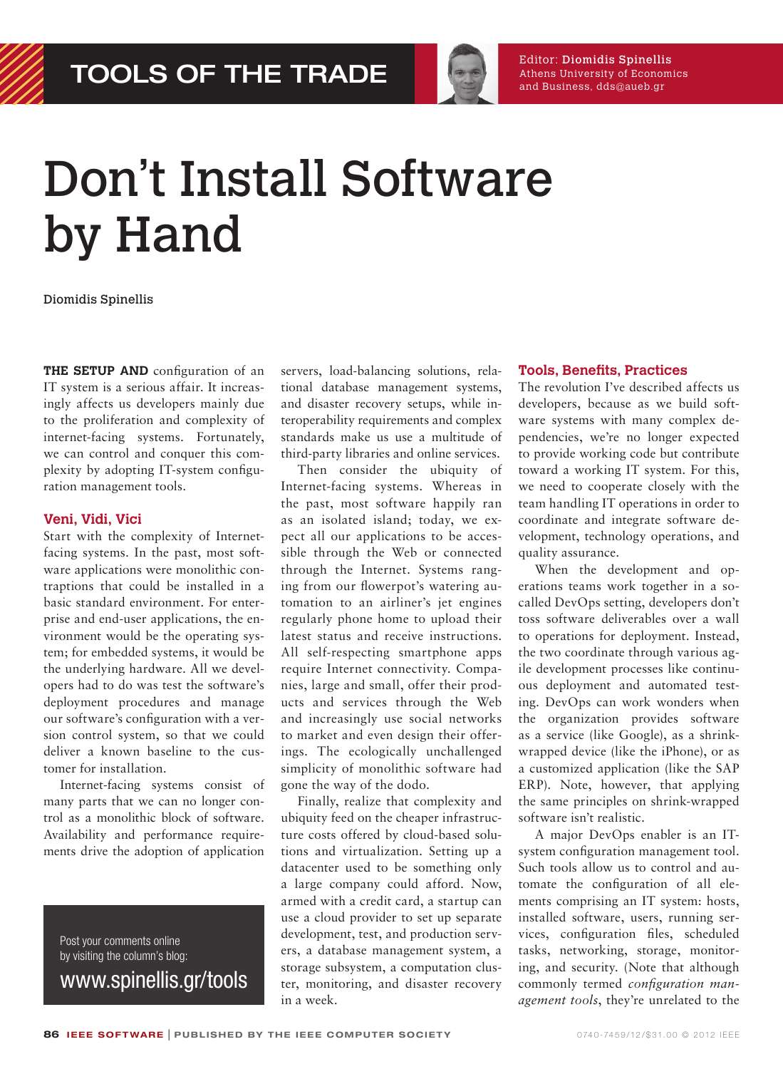

Editor: Diomidis Spinellis Athens University of Economics and Business, dds@aueb.gr

## Don't Install Software by Hand

Diomidis Spinellis

**THE SETUP AND** configuration of an IT system is a serious affair. It increasingly affects us developers mainly due to the proliferation and complexity of internet-facing systems. Fortunately, we can control and conquer this complexity by adopting IT-system configuration management tools.

## **Veni, Vidi, Vici**

Start with the complexity of Internetfacing systems. In the past, most software applications were monolithic contraptions that could be installed in a basic standard environment. For enterprise and end-user applications, the environment would be the operating system; for embedded systems, it would be the underlying hardware. All we developers had to do was test the software's deployment procedures and manage our software's configuration with a version control system, so that we could deliver a known baseline to the customer for installation.

Internet-facing systems consist of many parts that we can no longer control as a monolithic block of software. Availability and performance requirements drive the adoption of application

Post your comments online by visiting the column's blog: www.spinellis.gr/tools

servers, load-balancing solutions, relational database management systems, and disaster recovery setups, while interoperability requirements and complex standards make us use a multitude of third-party libraries and online services.

Then consider the ubiquity of Internet-facing systems. Whereas in the past, most software happily ran as an isolated island; today, we expect all our applications to be accessible through the Web or connected through the Internet. Systems ranging from our flowerpot's watering automation to an airliner's jet engines regularly phone home to upload their latest status and receive instructions. All self-respecting smartphone apps require Internet connectivity. Companies, large and small, offer their products and services through the Web and increasingly use social networks to market and even design their offerings. The ecologically unchallenged simplicity of monolithic software had gone the way of the dodo.

Finally, realize that complexity and ubiquity feed on the cheaper infrastructure costs offered by cloud-based solutions and virtualization. Setting up a datacenter used to be something only a large company could afford. Now, armed with a credit card, a startup can use a cloud provider to set up separate development, test, and production servers, a database management system, a storage subsystem, a computation cluster, monitoring, and disaster recovery in a week.

## **Tools, Benefits, Practices**

The revolution I've described affects us developers, because as we build software systems with many complex dependencies, we're no longer expected to provide working code but contribute toward a working IT system. For this, we need to cooperate closely with the team handling IT operations in order to coordinate and integrate software development, technology operations, and quality assurance.

When the development and operations teams work together in a socalled DevOps setting, developers don't toss software deliverables over a wall to operations for deployment. Instead, the two coordinate through various agile development processes like continuous deployment and automated testing. DevOps can work wonders when the organization provides software as a service (like Google), as a shrinkwrapped device (like the iPhone), or as a customized application (like the SAP ERP). Note, however, that applying the same principles on shrink-wrapped software isn't realistic.

A major DevOps enabler is an ITsystem configuration management tool. Such tools allow us to control and automate the configuration of all elements comprising an IT system: hosts, installed software, users, running services, configuration files, scheduled tasks, networking, storage, monitoring, and security. (Note that although commonly termed *configuration management tools*, they're unrelated to the